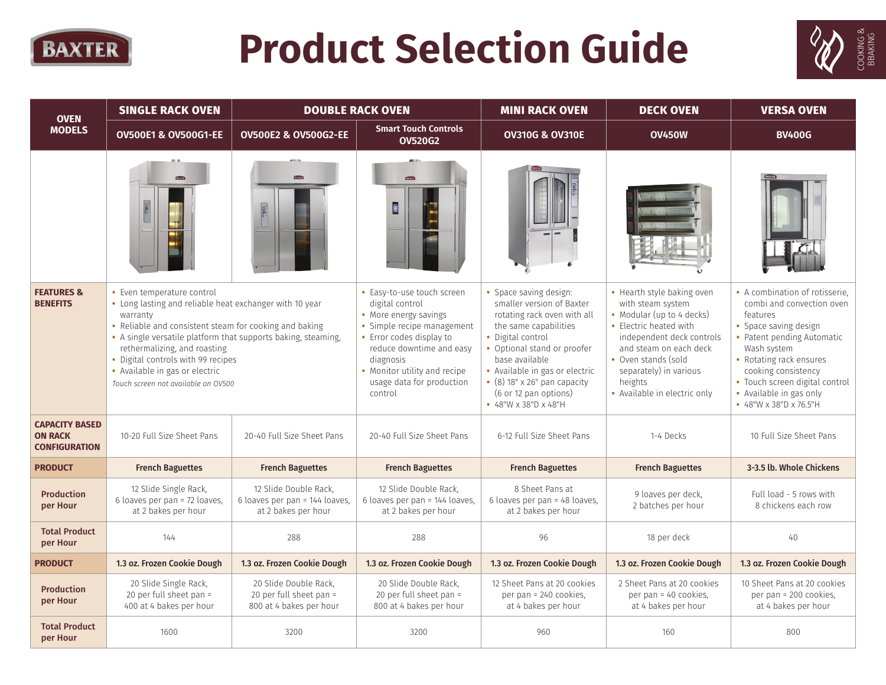

## **Product Selection Guide**



| <b>OVEN</b>                                                     | <b>SINGLE RACK OVEN</b><br><b>DOUBLE RACK OVEN</b>                                                                                                                                                                                                                                                                                                                          |                                                                                | <b>MINI RACK OVEN</b>                                                                                                                                                                                                                             | <b>DECK OVEN</b>                                                                                                                                                                                                                                                                                           | <b>VERSA OVEN</b>                                                                                                                                                                                                                                         |                                                                                                                                                                                                                                                                                        |
|-----------------------------------------------------------------|-----------------------------------------------------------------------------------------------------------------------------------------------------------------------------------------------------------------------------------------------------------------------------------------------------------------------------------------------------------------------------|--------------------------------------------------------------------------------|---------------------------------------------------------------------------------------------------------------------------------------------------------------------------------------------------------------------------------------------------|------------------------------------------------------------------------------------------------------------------------------------------------------------------------------------------------------------------------------------------------------------------------------------------------------------|-----------------------------------------------------------------------------------------------------------------------------------------------------------------------------------------------------------------------------------------------------------|----------------------------------------------------------------------------------------------------------------------------------------------------------------------------------------------------------------------------------------------------------------------------------------|
| <b>MODELS</b>                                                   | <b>OV500E1 &amp; OV500G1-EE</b>                                                                                                                                                                                                                                                                                                                                             | <b>OV500E2 &amp; OV500G2-EE</b>                                                | <b>Smart Touch Controls</b><br><b>OV520G2</b>                                                                                                                                                                                                     | <b>OV310G &amp; OV310E</b>                                                                                                                                                                                                                                                                                 | <b>OV450W</b>                                                                                                                                                                                                                                             | <b>BV400G</b>                                                                                                                                                                                                                                                                          |
|                                                                 |                                                                                                                                                                                                                                                                                                                                                                             | <b>EXVITE</b>                                                                  | 蘭                                                                                                                                                                                                                                                 |                                                                                                                                                                                                                                                                                                            |                                                                                                                                                                                                                                                           |                                                                                                                                                                                                                                                                                        |
| <b>FEATURES &amp;</b><br><b>BENEFITS</b>                        | • Even temperature control<br>• Long lasting and reliable heat exchanger with 10 year<br>warranty<br>• Reliable and consistent steam for cooking and baking<br>• A single versatile platform that supports baking, steaming,<br>rethermalizing, and roasting<br>• Digital controls with 99 recipes<br>• Available in gas or electric<br>Touch screen not available on OV500 |                                                                                | • Easy-to-use touch screen<br>digital control<br>• More energy savings<br>· Simple recipe management<br>• Error codes display to<br>reduce downtime and easy<br>diagnosis<br>• Monitor utility and recipe<br>usage data for production<br>control | • Space saving design:<br>smaller version of Baxter<br>rotating rack oven with all<br>the same capabilities<br>• Digital control<br>• Optional stand or proofer<br>base available<br>• Available in gas or electric<br>$\cdot$ (8) 18" x 26" pan capacity<br>(6 or 12 pan options)<br>• 48"W x 38"D x 48"H | • Hearth style baking oven<br>with steam system<br>• Modular (up to 4 decks)<br>• Electric heated with<br>independent deck controls<br>and steam on each deck<br>• Oven stands (sold<br>separately) in various<br>heights<br>• Available in electric only | • A combination of rotisserie.<br>combi and convection oven<br>features<br>• Space saving design<br>• Patent pending Automatic<br>Wash system<br>• Rotating rack ensures<br>cooking consistency<br>• Touch screen digital control<br>• Available in gas only<br>• 48"W x 38"D x 76.5"H |
| <b>CAPACITY BASED</b><br><b>ON RACK</b><br><b>CONFIGURATION</b> | 10-20 Full Size Sheet Pans                                                                                                                                                                                                                                                                                                                                                  | 20-40 Full Size Sheet Pans                                                     | 20-40 Full Size Sheet Pans                                                                                                                                                                                                                        | 6-12 Full Size Sheet Pans                                                                                                                                                                                                                                                                                  | 1-4 Decks                                                                                                                                                                                                                                                 | 10 Full Size Sheet Pans                                                                                                                                                                                                                                                                |
| <b>PRODUCT</b>                                                  | <b>French Baguettes</b>                                                                                                                                                                                                                                                                                                                                                     | <b>French Baguettes</b>                                                        | <b>French Baguettes</b>                                                                                                                                                                                                                           | <b>French Baguettes</b>                                                                                                                                                                                                                                                                                    | <b>French Baguettes</b>                                                                                                                                                                                                                                   | 3-3.5 lb. Whole Chickens                                                                                                                                                                                                                                                               |
| <b>Production</b><br>per Hour                                   | 12 Slide Single Rack,<br>6 loaves per pan = 72 loaves,<br>at 2 bakes per hour                                                                                                                                                                                                                                                                                               | 12 Slide Double Rack.<br>6 loaves per pan = 144 loaves.<br>at 2 bakes per hour | 12 Slide Double Rack.<br>6 loaves per pan = 144 loaves,<br>at 2 bakes per hour                                                                                                                                                                    | 8 Sheet Pans at<br>6 loaves per pan = 48 loaves.<br>at 2 bakes per hour                                                                                                                                                                                                                                    | 9 loaves per deck,<br>2 batches per hour                                                                                                                                                                                                                  | Full load - 5 rows with<br>8 chickens each row                                                                                                                                                                                                                                         |
| <b>Total Product</b><br>per Hour                                | 144                                                                                                                                                                                                                                                                                                                                                                         | 288                                                                            | 288                                                                                                                                                                                                                                               | 96                                                                                                                                                                                                                                                                                                         | 18 per deck                                                                                                                                                                                                                                               | 40                                                                                                                                                                                                                                                                                     |
| <b>PRODUCT</b>                                                  | 1.3 oz. Frozen Cookie Dough                                                                                                                                                                                                                                                                                                                                                 | 1.3 oz. Frozen Cookie Dough                                                    | 1.3 oz. Frozen Cookie Dough                                                                                                                                                                                                                       | 1.3 oz. Frozen Cookie Dough                                                                                                                                                                                                                                                                                | 1.3 oz. Frozen Cookie Dough                                                                                                                                                                                                                               | 1.3 oz. Frozen Cookie Dough                                                                                                                                                                                                                                                            |
| <b>Production</b><br>per Hour                                   | 20 Slide Single Rack,<br>20 per full sheet pan =<br>400 at 4 bakes per hour                                                                                                                                                                                                                                                                                                 | 20 Slide Double Rack.<br>20 per full sheet pan =<br>800 at 4 bakes per hour    | 20 Slide Double Rack.<br>20 per full sheet pan =<br>800 at 4 bakes per hour                                                                                                                                                                       | 12 Sheet Pans at 20 cookies<br>per pan = 240 cookies,<br>at 4 bakes per hour                                                                                                                                                                                                                               | 2 Sheet Pans at 20 cookies<br>per pan = 40 cookies,<br>at 4 bakes per hour                                                                                                                                                                                | 10 Sheet Pans at 20 cookies<br>per pan = 200 cookies,<br>at 4 bakes per hour                                                                                                                                                                                                           |
| <b>Total Product</b><br>per Hour                                | 1600                                                                                                                                                                                                                                                                                                                                                                        | 3200                                                                           | 3200                                                                                                                                                                                                                                              | 960                                                                                                                                                                                                                                                                                                        | 160                                                                                                                                                                                                                                                       | 800                                                                                                                                                                                                                                                                                    |